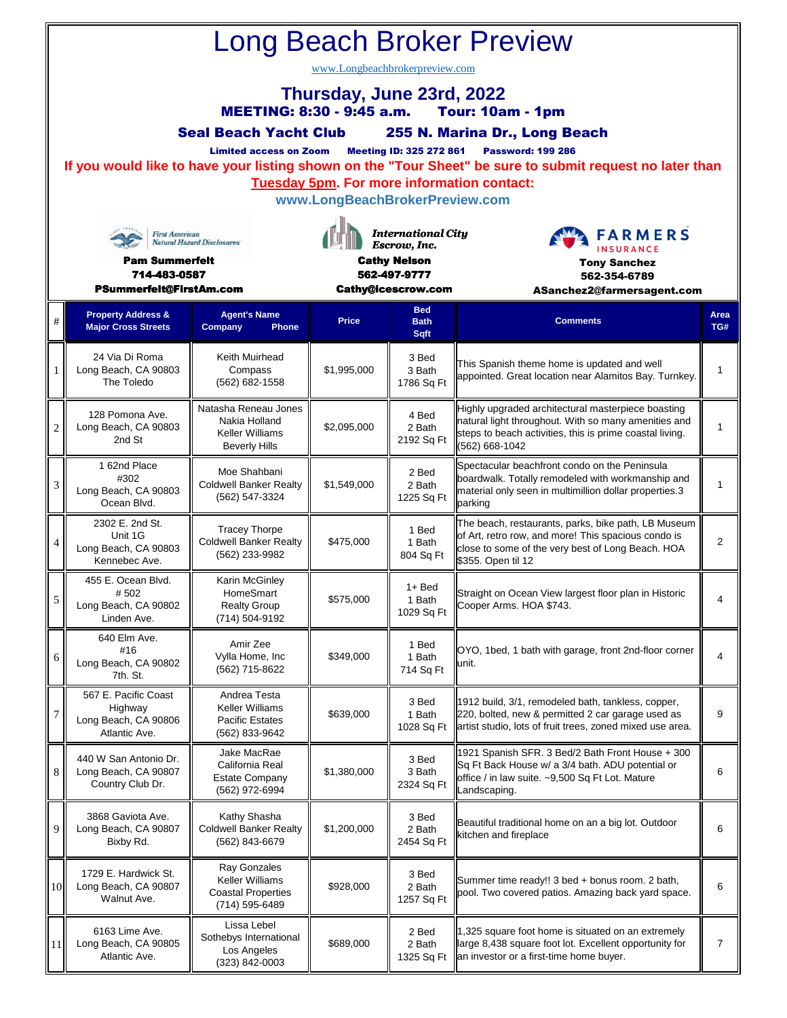| Long Beach Broker Preview                                                                |                                                                                                                                                                                                         |                                                                           |                                     |                                           |                                                                                                                                                                         |                |  |  |  |  |  |  |  |  |
|------------------------------------------------------------------------------------------|---------------------------------------------------------------------------------------------------------------------------------------------------------------------------------------------------------|---------------------------------------------------------------------------|-------------------------------------|-------------------------------------------|-------------------------------------------------------------------------------------------------------------------------------------------------------------------------|----------------|--|--|--|--|--|--|--|--|
| www.Longbeachbrokerpreview.com                                                           |                                                                                                                                                                                                         |                                                                           |                                     |                                           |                                                                                                                                                                         |                |  |  |  |  |  |  |  |  |
| Thursday, June 23rd, 2022<br><b>MEETING: 8:30 - 9:45 a.m.</b><br><b>Tour: 10am - 1pm</b> |                                                                                                                                                                                                         |                                                                           |                                     |                                           |                                                                                                                                                                         |                |  |  |  |  |  |  |  |  |
|                                                                                          | 255 N. Marina Dr., Long Beach<br><b>Seal Beach Yacht Club</b>                                                                                                                                           |                                                                           |                                     |                                           |                                                                                                                                                                         |                |  |  |  |  |  |  |  |  |
|                                                                                          | <b>Meeting ID: 325 272 861</b><br><b>Password: 199 286</b><br><b>Limited access on Zoom</b><br>If you would like to have your listing shown on the "Tour Sheet" be sure to submit request no later than |                                                                           |                                     |                                           |                                                                                                                                                                         |                |  |  |  |  |  |  |  |  |
|                                                                                          | <b>Tuesday 5pm. For more information contact:</b>                                                                                                                                                       |                                                                           |                                     |                                           |                                                                                                                                                                         |                |  |  |  |  |  |  |  |  |
| www.LongBeachBrokerPreview.com                                                           |                                                                                                                                                                                                         |                                                                           |                                     |                                           |                                                                                                                                                                         |                |  |  |  |  |  |  |  |  |
| <b>First American</b><br><b>Natural Hazard Disclosures</b>                               |                                                                                                                                                                                                         |                                                                           |                                     | <b>International City</b><br>Escrow, Inc. | <b>FARMERS</b><br><b>INSURANCE</b>                                                                                                                                      |                |  |  |  |  |  |  |  |  |
| <b>Pam Summerfelt</b><br>714-483-0587                                                    |                                                                                                                                                                                                         |                                                                           | <b>Cathy Nelson</b><br>562-497-9777 |                                           | <b>Tony Sanchez</b><br>562-354-6789                                                                                                                                     |                |  |  |  |  |  |  |  |  |
|                                                                                          | PSummerfelt@FirstAm.com                                                                                                                                                                                 |                                                                           | Cathy@icescrow.com                  |                                           | ASanchez2@farmersagent.com                                                                                                                                              |                |  |  |  |  |  |  |  |  |
| #                                                                                        | <b>Property Address &amp;</b><br><b>Major Cross Streets</b>                                                                                                                                             | <b>Agent's Name</b><br>Company<br><b>Phone</b>                            | <b>Price</b>                        | <b>Bed</b><br><b>Bath</b><br>Sqft         | <b>Comments</b>                                                                                                                                                         | Area<br>TG#    |  |  |  |  |  |  |  |  |
| 1                                                                                        | 24 Via Di Roma<br>Long Beach, CA 90803                                                                                                                                                                  | Keith Muirhead<br>Compass                                                 | \$1,995,000                         | 3 Bed<br>3 Bath                           | This Spanish theme home is updated and well<br>appointed. Great location near Alamitos Bay. Turnkey.                                                                    | $\mathbf{1}$   |  |  |  |  |  |  |  |  |
|                                                                                          | The Toledo                                                                                                                                                                                              | (562) 682-1558                                                            |                                     | 1786 Sq Ft                                |                                                                                                                                                                         |                |  |  |  |  |  |  |  |  |
| $\overline{2}$                                                                           | 128 Pomona Ave.<br>Long Beach, CA 90803                                                                                                                                                                 | Natasha Reneau Jones<br>Nakia Holland<br>Keller Williams                  | \$2,095,000                         | 4 Bed<br>2 Bath                           | Highly upgraded architectural masterpiece boasting<br>natural light throughout. With so many amenities and<br>steps to beach activities, this is prime coastal living.  | 1              |  |  |  |  |  |  |  |  |
|                                                                                          | 2nd St                                                                                                                                                                                                  | <b>Beverly Hills</b>                                                      |                                     | 2192 Sq Ft                                | (562) 668-1042                                                                                                                                                          |                |  |  |  |  |  |  |  |  |
| 3                                                                                        | 1 62nd Place<br>#302<br>Long Beach, CA 90803<br>Ocean Blvd.                                                                                                                                             | Moe Shahbani<br><b>Coldwell Banker Realty</b><br>(562) 547-3324           | \$1,549,000                         | 2 Bed<br>2 Bath<br>1225 Sq Ft             | Spectacular beachfront condo on the Peninsula<br>boardwalk. Totally remodeled with workmanship and<br>material only seen in multimillion dollar properties.3<br>parking | 1              |  |  |  |  |  |  |  |  |
|                                                                                          | 2302 E. 2nd St.<br>Unit 1G                                                                                                                                                                              | <b>Tracey Thorpe</b>                                                      |                                     | 1 Bed                                     | The beach, restaurants, parks, bike path, LB Museum<br>of Art, retro row, and more! This spacious condo is                                                              |                |  |  |  |  |  |  |  |  |
| 4                                                                                        | Long Beach, CA 90803<br>Kennebec Ave.                                                                                                                                                                   | <b>Coldwell Banker Realty</b><br>(562) 233-9982                           | \$475,000                           | 1 Bath<br>804 Sq Ft                       | close to some of the very best of Long Beach. HOA<br>\$355. Open til 12                                                                                                 | $\overline{2}$ |  |  |  |  |  |  |  |  |
| 5 <sup>1</sup>                                                                           | 455 E. Ocean Blvd.<br>#502<br>Long Beach, CA 90802                                                                                                                                                      | Karin McGinley<br>HomeSmart<br><b>Realty Group</b>                        | \$575,000                           | $1 + Bed$<br>1 Bath                       | Straight on Ocean View largest floor plan in Historic<br>Cooper Arms. HOA \$743.                                                                                        | 4              |  |  |  |  |  |  |  |  |
|                                                                                          | Linden Ave.                                                                                                                                                                                             | (714) 504-9192                                                            |                                     | 1029 Sq Ft                                |                                                                                                                                                                         |                |  |  |  |  |  |  |  |  |
| 6                                                                                        | 640 Elm Ave.<br>#16<br>Long Beach, CA 90802<br>7th. St.                                                                                                                                                 | Amir Zee<br>Vylla Home, Inc<br>(562) 715-8622                             | \$349,000                           | 1 Bed<br>1 Bath<br>714 Sq Ft              | OYO, 1bed, 1 bath with garage, front 2nd-floor corner<br>unit.                                                                                                          | 4              |  |  |  |  |  |  |  |  |
| $\boldsymbol{7}$                                                                         | 567 E. Pacific Coast<br>Highway                                                                                                                                                                         | Andrea Testa<br><b>Keller Williams</b>                                    | \$639,000                           | 3 Bed<br>1 Bath<br>1028 Sq Ft             | 1912 build, 3/1, remodeled bath, tankless, copper,<br>220, bolted, new & permitted 2 car garage used as<br>artist studio, lots of fruit trees, zoned mixed use area.    | 9              |  |  |  |  |  |  |  |  |
|                                                                                          | Long Beach, CA 90806<br>Atlantic Ave.                                                                                                                                                                   | <b>Pacific Estates</b><br>(562) 833-9642                                  |                                     |                                           |                                                                                                                                                                         |                |  |  |  |  |  |  |  |  |
| 8                                                                                        | 440 W San Antonio Dr.<br>Long Beach, CA 90807<br>Country Club Dr.                                                                                                                                       | Jake MacRae<br>California Real<br><b>Estate Company</b><br>(562) 972-6994 | \$1,380,000                         | 3 Bed<br>3 Bath<br>2324 Sq Ft             | 1921 Spanish SFR. 3 Bed/2 Bath Front House + 300<br>Sq Ft Back House w/ a 3/4 bath. ADU potential or<br>office / in law suite. ~9,500 Sq Ft Lot. Mature<br>Landscaping. | 6              |  |  |  |  |  |  |  |  |
| 9                                                                                        | 3868 Gaviota Ave.<br>Long Beach, CA 90807<br>Bixby Rd.                                                                                                                                                  | Kathy Shasha<br><b>Coldwell Banker Realty</b><br>(562) 843-6679           | \$1,200,000                         | 3 Bed<br>2 Bath<br>2454 Sq Ft             | Beautiful traditional home on an a big lot. Outdoor<br>kitchen and fireplace                                                                                            | 6              |  |  |  |  |  |  |  |  |

3 Bed 2 Bath 1257 Sq Ft

 $$928,000$   $$3^{B4}$  Summer time ready!! 3 bed + bonus room. 2 bath,

Summer lime ready!! 3 bed + bonus room. 2 bath,<br>pool. Two covered patios. Amazing back yard space.

7

1,325 square foot home is situated on an extremely large 8,438 square foot lot. Excellent opportunity for

an investor or a first-time home buyer.

2 Bed 2 Bath 1325 Sq Ft

\$689,000

10

1729 E. Hardwick St. Long Beach, CA 90807 Walnut Ave.

6163 Lime Ave. Long Beach, CA 90805 Atlantic Ave.

Ray Gonzales Keller Williams Coastal Properties (714) 595-6489

Lissa Lebel Sothebys International Los Angeles (323) 842-0003

11